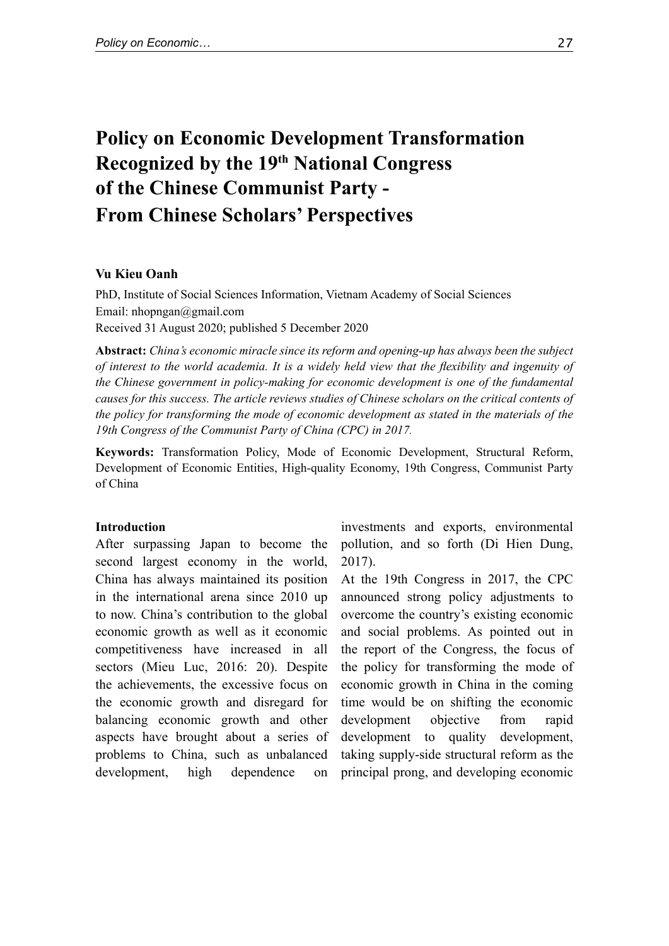# **Policy on Economic Development Transformation Recognized by the 19th National Congress of the Chinese Communist Party - From Chinese Scholars' Perspectives**

## **Vu Kieu Oanh**

PhD, Institute of Social Sciences Information, Vietnam Academy of Social Sciences Email: nhopngan@gmail.com Received 31 August 2020; published 5 December 2020

**Abstract:** *China's economic miracle since its reform and opening-up has always been the subject of interest to the world academia. It is a widely held view that the flexibility and ingenuity of the Chinese government in policy-making for economic development is one of the fundamental causes for this success. The article reviews studies of Chinese scholars on the critical contents of the policy for transforming the mode of economic development as stated in the materials of the 19th Congress of the Communist Party of China (CPC) in 2017.*

**Keywords:** Transformation Policy, Mode of Economic Development, Structural Reform, Development of Economic Entities, High-quality Economy, 19th Congress, Communist Party of China

## **Introduction**

After surpassing Japan to become the second largest economy in the world, China has always maintained its position in the international arena since 2010 up to now. China's contribution to the global economic growth as well as it economic competitiveness have increased in all sectors (Mieu Luc, 2016: 20). Despite the achievements, the excessive focus on the economic growth and disregard for balancing economic growth and other aspects have brought about a series of problems to China, such as unbalanced development, high dependence on

investments and exports, environmental pollution, and so forth (Di Hien Dung, 2017).

At the 19th Congress in 2017, the CPC announced strong policy adjustments to overcome the country's existing economic and social problems. As pointed out in the report of the Congress, the focus of the policy for transforming the mode of economic growth in China in the coming time would be on shifting the economic development objective from rapid development to quality development, taking supply-side structural reform as the principal prong, and developing economic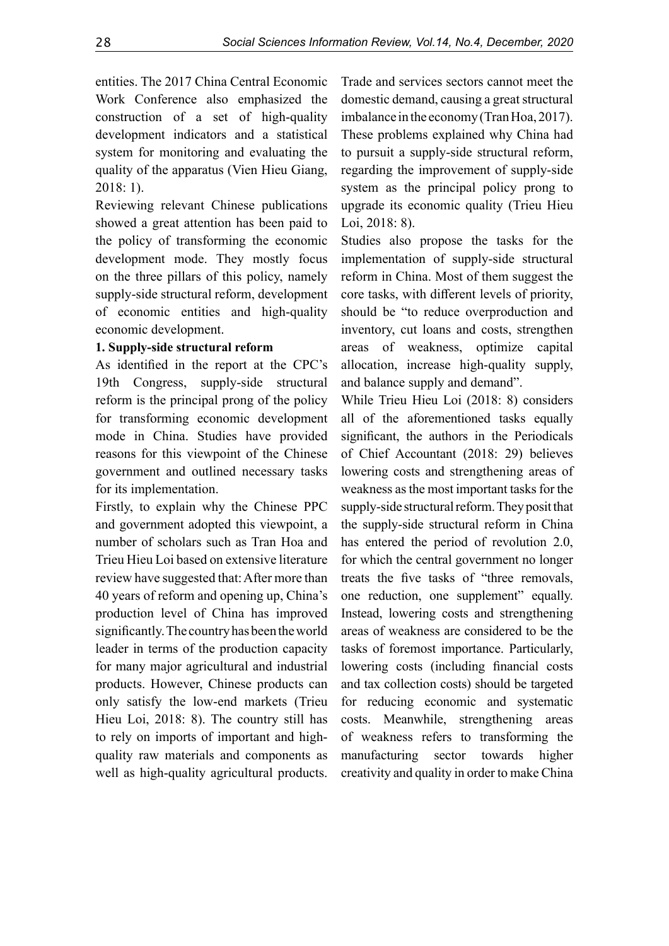entities. The 2017 China Central Economic Work Conference also emphasized the construction of a set of high-quality development indicators and a statistical system for monitoring and evaluating the quality of the apparatus (Vien Hieu Giang, 2018: 1).

Reviewing relevant Chinese publications showed a great attention has been paid to the policy of transforming the economic development mode. They mostly focus on the three pillars of this policy, namely supply-side structural reform, development of economic entities and high-quality economic development.

# **1. Supply-side structural reform**

As identified in the report at the CPC's 19th Congress, supply-side structural reform is the principal prong of the policy for transforming economic development mode in China. Studies have provided reasons for this viewpoint of the Chinese government and outlined necessary tasks for its implementation.

Firstly, to explain why the Chinese PPC and government adopted this viewpoint, a number of scholars such as Tran Hoa and Trieu Hieu Loi based on extensive literature review have suggested that: After more than 40 years of reform and opening up, China's production level of China has improved significantly. The country has been the world leader in terms of the production capacity for many major agricultural and industrial products. However, Chinese products can only satisfy the low-end markets (Trieu Hieu Loi, 2018: 8). The country still has to rely on imports of important and highquality raw materials and components as well as high-quality agricultural products.

Trade and services sectors cannot meet the domestic demand, causing a great structural imbalance in the economy (Tran Hoa, 2017). These problems explained why China had to pursuit a supply-side structural reform, regarding the improvement of supply-side system as the principal policy prong to upgrade its economic quality (Trieu Hieu Loi, 2018: 8).

Studies also propose the tasks for the implementation of supply-side structural reform in China. Most of them suggest the core tasks, with different levels of priority, should be "to reduce overproduction and inventory, cut loans and costs, strengthen areas of weakness, optimize capital allocation, increase high-quality supply, and balance supply and demand".

While Trieu Hieu Loi (2018: 8) considers all of the aforementioned tasks equally significant, the authors in the Periodicals of Chief Accountant (2018: 29) believes lowering costs and strengthening areas of weakness as the most important tasks for the supply-side structural reform. They posit that the supply-side structural reform in China has entered the period of revolution 2.0, for which the central government no longer treats the five tasks of "three removals, one reduction, one supplement" equally. Instead, lowering costs and strengthening areas of weakness are considered to be the tasks of foremost importance. Particularly, lowering costs (including financial costs and tax collection costs) should be targeted for reducing economic and systematic costs. Meanwhile, strengthening areas of weakness refers to transforming the manufacturing sector towards higher creativity and quality in order to make China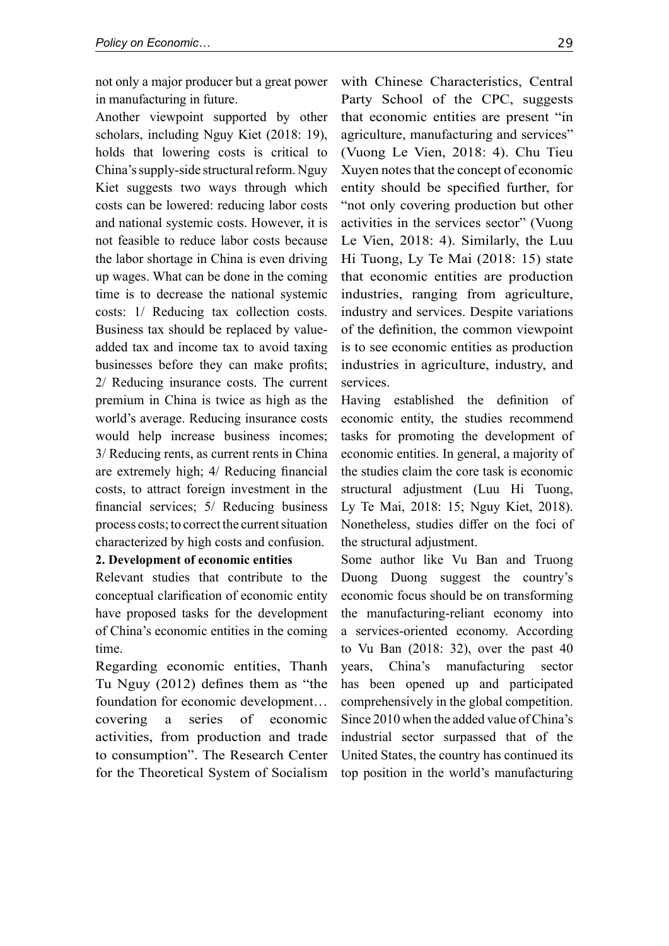not only a major producer but a great power in manufacturing in future.

Another viewpoint supported by other scholars, including Nguy Kiet (2018: 19), holds that lowering costs is critical to China's supply-side structural reform. Nguy Kiet suggests two ways through which costs can be lowered: reducing labor costs and national systemic costs. However, it is not feasible to reduce labor costs because the labor shortage in China is even driving up wages. What can be done in the coming time is to decrease the national systemic costs: 1/ Reducing tax collection costs. Business tax should be replaced by valueadded tax and income tax to avoid taxing businesses before they can make profits; 2/ Reducing insurance costs. The current premium in China is twice as high as the world's average. Reducing insurance costs would help increase business incomes; 3/ Reducing rents, as current rents in China are extremely high; 4/ Reducing financial costs, to attract foreign investment in the financial services; 5/ Reducing business process costs; to correct the current situation characterized by high costs and confusion.

#### **2. Development of economic entities**

Relevant studies that contribute to the conceptual clarification of economic entity have proposed tasks for the development of China's economic entities in the coming time.

Regarding economic entities, Thanh Tu Nguy  $(2012)$  defines them as "the foundation for economic development… covering a series of economic activities, from production and trade to consumption". The Research Center for the Theoretical System of Socialism

with Chinese Characteristics, Central Party School of the CPC, suggests that economic entities are present "in agriculture, manufacturing and services" (Vuong Le Vien, 2018: 4). Chu Tieu Xuyen notes that the concept of economic entity should be specified further, for "not only covering production but other activities in the services sector" (Vuong Le Vien, 2018: 4). Similarly, the Luu Hi Tuong, Ly Te Mai (2018: 15) state that economic entities are production industries, ranging from agriculture, industry and services. Despite variations of the definition, the common viewpoint is to see economic entities as production industries in agriculture, industry, and services.

Having established the definition of economic entity, the studies recommend tasks for promoting the development of economic entities. In general, a majority of the studies claim the core task is economic structural adjustment (Luu Hi Tuong, Ly Te Mai, 2018: 15; Nguy Kiet, 2018). Nonetheless, studies differ on the foci of the structural adjustment.

Some author like Vu Ban and Truong Duong Duong suggest the country's economic focus should be on transforming the manufacturing-reliant economy into a services-oriented economy. According to Vu Ban (2018: 32), over the past 40 years, China's manufacturing sector has been opened up and participated comprehensively in the global competition. Since 2010 when the added value of China's industrial sector surpassed that of the United States, the country has continued its top position in the world's manufacturing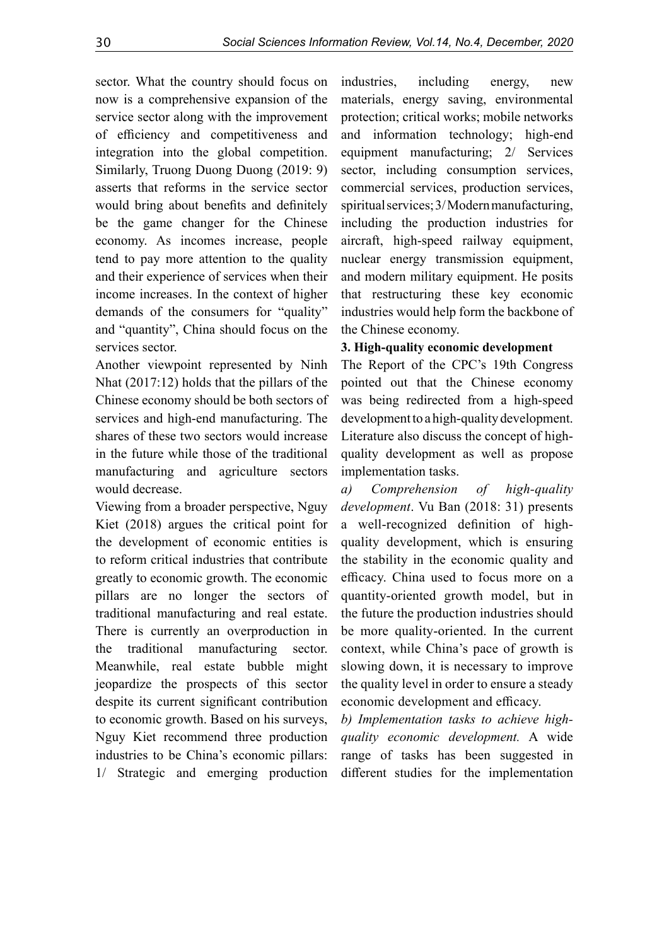sector. What the country should focus on now is a comprehensive expansion of the service sector along with the improvement of efficiency and competitiveness and integration into the global competition. Similarly, Truong Duong Duong (2019: 9) asserts that reforms in the service sector would bring about benefits and definitely be the game changer for the Chinese economy. As incomes increase, people tend to pay more attention to the quality and their experience of services when their income increases. In the context of higher demands of the consumers for "quality" and "quantity", China should focus on the services sector.

Another viewpoint represented by Ninh Nhat (2017:12) holds that the pillars of the Chinese economy should be both sectors of services and high-end manufacturing. The shares of these two sectors would increase in the future while those of the traditional manufacturing and agriculture sectors would decrease.

Viewing from a broader perspective, Nguy Kiet (2018) argues the critical point for the development of economic entities is to reform critical industries that contribute greatly to economic growth. The economic pillars are no longer the sectors of traditional manufacturing and real estate. There is currently an overproduction in the traditional manufacturing sector. Meanwhile, real estate bubble might jeopardize the prospects of this sector despite its current significant contribution to economic growth. Based on his surveys, Nguy Kiet recommend three production industries to be China's economic pillars: 1/ Strategic and emerging production

industries, including energy, new materials, energy saving, environmental protection; critical works; mobile networks and information technology; high-end equipment manufacturing; 2/ Services sector, including consumption services, commercial services, production services, spiritual services; 3/ Modern manufacturing, including the production industries for aircraft, high-speed railway equipment, nuclear energy transmission equipment, and modern military equipment. He posits that restructuring these key economic industries would help form the backbone of the Chinese economy.

# **3. High-quality economic development**

The Report of the CPC's 19th Congress pointed out that the Chinese economy was being redirected from a high-speed development to a high-quality development. Literature also discuss the concept of highquality development as well as propose implementation tasks.

*a) Comprehension of high-quality development*. Vu Ban (2018: 31) presents a well-recognized definition of highquality development, which is ensuring the stability in the economic quality and efficacy. China used to focus more on a quantity-oriented growth model, but in the future the production industries should be more quality-oriented. In the current context, while China's pace of growth is slowing down, it is necessary to improve the quality level in order to ensure a steady economic development and efficacy.

*b) Implementation tasks to achieve highquality economic development.* A wide range of tasks has been suggested in different studies for the implementation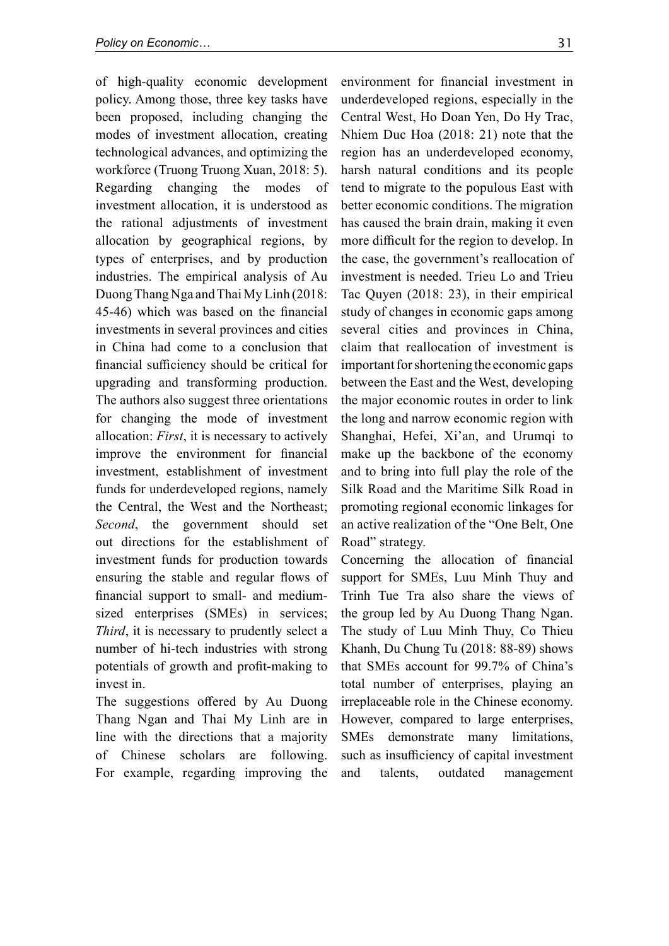of high-quality economic development policy. Among those, three key tasks have been proposed, including changing the modes of investment allocation, creating technological advances, and optimizing the workforce (Truong Truong Xuan, 2018: 5). Regarding changing the modes of investment allocation, it is understood as the rational adjustments of investment allocation by geographical regions, by types of enterprises, and by production industries. The empirical analysis of Au Duong Thang Nga and Thai My Linh (2018: 45-46) which was based on the financial investments in several provinces and cities in China had come to a conclusion that financial sufficiency should be critical for upgrading and transforming production. The authors also suggest three orientations for changing the mode of investment allocation: *First*, it is necessary to actively improve the environment for financial investment, establishment of investment funds for underdeveloped regions, namely the Central, the West and the Northeast; *Second*, the government should set out directions for the establishment of investment funds for production towards ensuring the stable and regular flows of financial support to small- and mediumsized enterprises (SMEs) in services; *Third*, it is necessary to prudently select a number of hi-tech industries with strong potentials of growth and profit-making to invest in.

The suggestions offered by Au Duong Thang Ngan and Thai My Linh are in line with the directions that a majority of Chinese scholars are following. For example, regarding improving the

environment for financial investment in underdeveloped regions, especially in the Central West, Ho Doan Yen, Do Hy Trac, Nhiem Duc Hoa (2018: 21) note that the region has an underdeveloped economy, harsh natural conditions and its people tend to migrate to the populous East with better economic conditions. The migration has caused the brain drain, making it even more difficult for the region to develop. In the case, the government's reallocation of investment is needed. Trieu Lo and Trieu Tac Quyen (2018: 23), in their empirical study of changes in economic gaps among several cities and provinces in China, claim that reallocation of investment is important for shortening the economic gaps between the East and the West, developing the major economic routes in order to link the long and narrow economic region with Shanghai, Hefei, Xi'an, and Urumqi to make up the backbone of the economy and to bring into full play the role of the Silk Road and the Maritime Silk Road in promoting regional economic linkages for an active realization of the "One Belt, One Road" strategy.

Concerning the allocation of financial support for SMEs, Luu Minh Thuy and Trinh Tue Tra also share the views of the group led by Au Duong Thang Ngan. The study of Luu Minh Thuy, Co Thieu Khanh, Du Chung Tu (2018: 88-89) shows that SMEs account for 99.7% of China's total number of enterprises, playing an irreplaceable role in the Chinese economy. However, compared to large enterprises, SMEs demonstrate many limitations, such as insufficiency of capital investment and talents, outdated management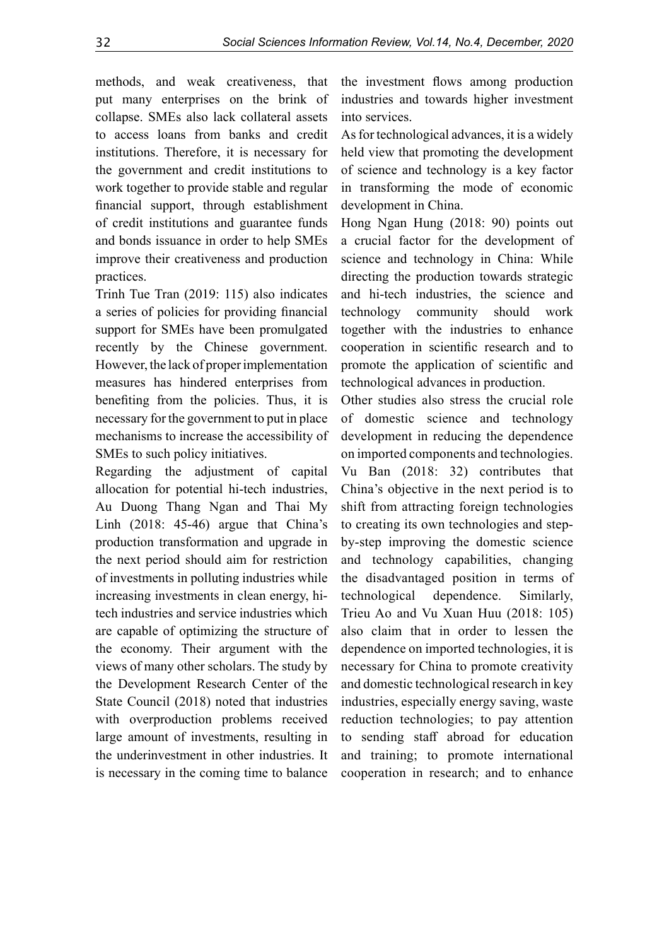methods, and weak creativeness, that put many enterprises on the brink of collapse. SMEs also lack collateral assets to access loans from banks and credit institutions. Therefore, it is necessary for the government and credit institutions to work together to provide stable and regular financial support, through establishment of credit institutions and guarantee funds and bonds issuance in order to help SMEs improve their creativeness and production practices.

Trinh Tue Tran (2019: 115) also indicates a series of policies for providing financial support for SMEs have been promulgated recently by the Chinese government. However, the lack of proper implementation measures has hindered enterprises from benefiting from the policies. Thus, it is necessary for the government to put in place mechanisms to increase the accessibility of SMEs to such policy initiatives.

Regarding the adjustment of capital allocation for potential hi-tech industries, Au Duong Thang Ngan and Thai My Linh (2018: 45-46) argue that China's production transformation and upgrade in the next period should aim for restriction of investments in polluting industries while increasing investments in clean energy, hitech industries and service industries which are capable of optimizing the structure of the economy. Their argument with the views of many other scholars. The study by the Development Research Center of the State Council (2018) noted that industries with overproduction problems received large amount of investments, resulting in the underinvestment in other industries. It is necessary in the coming time to balance

the investment flows among production industries and towards higher investment into services.

As for technological advances, it is a widely held view that promoting the development of science and technology is a key factor in transforming the mode of economic development in China.

Hong Ngan Hung (2018: 90) points out a crucial factor for the development of science and technology in China: While directing the production towards strategic and hi-tech industries, the science and technology community should work together with the industries to enhance cooperation in scientific research and to promote the application of scientific and technological advances in production.

Other studies also stress the crucial role of domestic science and technology development in reducing the dependence on imported components and technologies. Vu Ban (2018: 32) contributes that China's objective in the next period is to shift from attracting foreign technologies to creating its own technologies and stepby-step improving the domestic science and technology capabilities, changing the disadvantaged position in terms of technological dependence. Similarly, Trieu Ao and Vu Xuan Huu (2018: 105) also claim that in order to lessen the dependence on imported technologies, it is necessary for China to promote creativity and domestic technological research in key industries, especially energy saving, waste reduction technologies; to pay attention to sending staff abroad for education and training; to promote international cooperation in research; and to enhance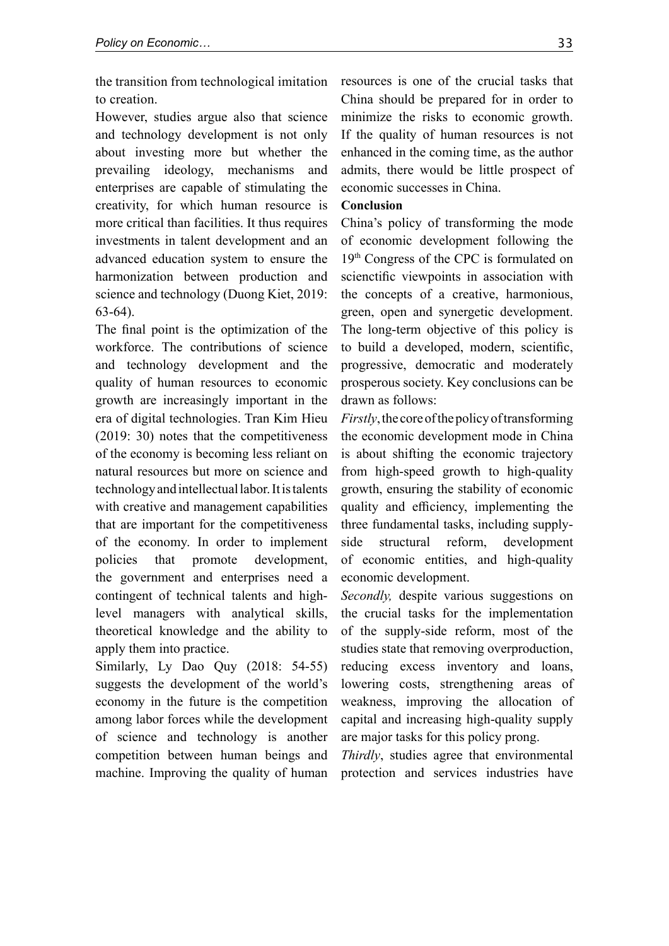the transition from technological imitation to creation.

However, studies argue also that science and technology development is not only about investing more but whether the prevailing ideology, mechanisms and enterprises are capable of stimulating the creativity, for which human resource is more critical than facilities. It thus requires investments in talent development and an advanced education system to ensure the harmonization between production and science and technology (Duong Kiet, 2019: 63-64).

The final point is the optimization of the workforce. The contributions of science and technology development and the quality of human resources to economic growth are increasingly important in the era of digital technologies. Tran Kim Hieu (2019: 30) notes that the competitiveness of the economy is becoming less reliant on natural resources but more on science and technology and intellectual labor. It is talents with creative and management capabilities that are important for the competitiveness of the economy. In order to implement policies that promote development, the government and enterprises need a contingent of technical talents and highlevel managers with analytical skills, theoretical knowledge and the ability to apply them into practice.

Similarly, Ly Dao Quy (2018: 54-55) suggests the development of the world's economy in the future is the competition among labor forces while the development of science and technology is another competition between human beings and machine. Improving the quality of human

resources is one of the crucial tasks that China should be prepared for in order to minimize the risks to economic growth. If the quality of human resources is not enhanced in the coming time, as the author admits, there would be little prospect of economic successes in China.

# **Conclusion**

China's policy of transforming the mode of economic development following the 19th Congress of the CPC is formulated on scienctific viewpoints in association with the concepts of a creative, harmonious, green, open and synergetic development. The long-term objective of this policy is to build a developed, modern, scientific, progressive, democratic and moderately prosperous society. Key conclusions can be drawn as follows:

*Firstly*, the core of the policy of transforming the economic development mode in China is about shifting the economic trajectory from high-speed growth to high-quality growth, ensuring the stability of economic quality and efficiency, implementing the three fundamental tasks, including supplyside structural reform, development of economic entities, and high-quality economic development.

*Secondly,* despite various suggestions on the crucial tasks for the implementation of the supply-side reform, most of the studies state that removing overproduction, reducing excess inventory and loans, lowering costs, strengthening areas of weakness, improving the allocation of capital and increasing high-quality supply are major tasks for this policy prong.

*Thirdly*, studies agree that environmental protection and services industries have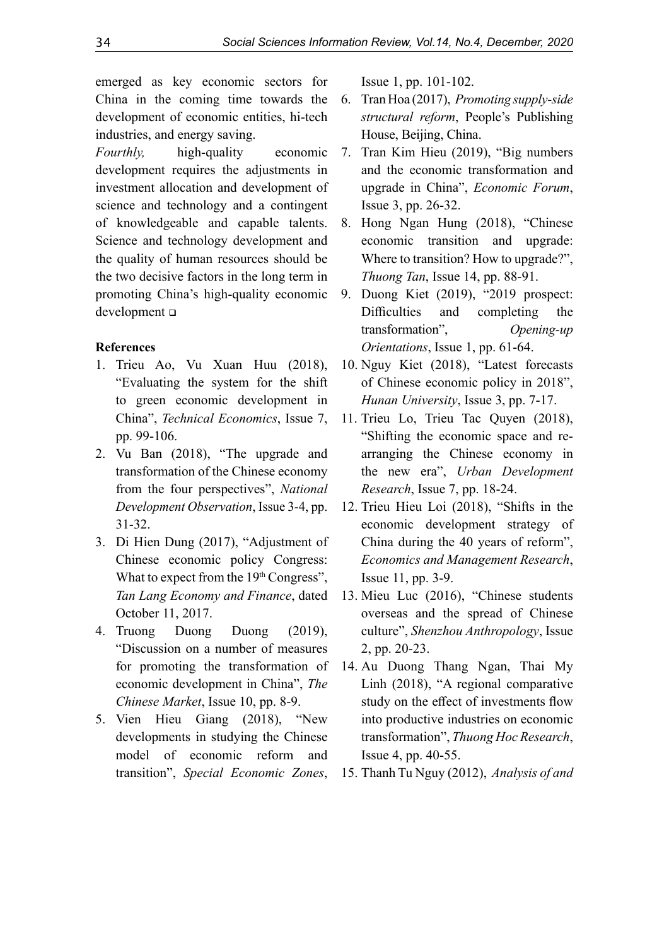emerged as key economic sectors for China in the coming time towards the development of economic entities, hi-tech industries, and energy saving.

*Fourthly,* high-quality economic development requires the adjustments in investment allocation and development of science and technology and a contingent of knowledgeable and capable talents. Science and technology development and the quality of human resources should be the two decisive factors in the long term in promoting China's high-quality economic development

# **References**

- 1. Trieu Ao, Vu Xuan Huu (2018), "Evaluating the system for the shift to green economic development in China", *Technical Economics*, Issue 7, pp. 99-106.
- 2. Vu Ban (2018), "The upgrade and transformation of the Chinese economy from the four perspectives", *National Development Observation*, Issue 3-4, pp. 31-32.
- 3. Di Hien Dung (2017), "Adjustment of Chinese economic policy Congress: What to expect from the  $19<sup>th</sup> Congress$ , *Tan Lang Economy and Finance*, dated October 11, 2017.
- 4. Truong Duong Duong (2019), "Discussion on a number of measures for promoting the transformation of economic development in China", *The Chinese Market*, Issue 10, pp. 8-9.
- 5. Vien Hieu Giang (2018), "New developments in studying the Chinese model of economic reform and transition", *Special Economic Zones*,

Issue 1, pp. 101-102.

- 6. Tran Hoa (2017), *Promoting supply-side structural reform*, People's Publishing House, Beijing, China.
- 7. Tran Kim Hieu (2019), "Big numbers and the economic transformation and upgrade in China", *Economic Forum*, Issue 3, pp. 26-32.
- 8. Hong Ngan Hung (2018), "Chinese economic transition and upgrade: Where to transition? How to upgrade?", *Thuong Tan*, Issue 14, pp. 88-91.
- 9. Duong Kiet (2019), "2019 prospect: Difficulties and completing the transformation", *Opening-up Orientations*, Issue 1, pp. 61-64.
- 10. Nguy Kiet (2018), "Latest forecasts of Chinese economic policy in 2018", *Hunan University*, Issue 3, pp. 7-17.
- 11. Trieu Lo, Trieu Tac Quyen (2018), "Shifting the economic space and rearranging the Chinese economy in the new era", *Urban Development Research*, Issue 7, pp. 18-24.
- 12. Trieu Hieu Loi (2018), "Shifts in the economic development strategy of China during the 40 years of reform", *Economics and Management Research*, Issue 11, pp. 3-9.
- 13. Mieu Luc (2016), "Chinese students overseas and the spread of Chinese culture", *Shenzhou Anthropology*, Issue 2, pp. 20-23.
- 14. Au Duong Thang Ngan, Thai My Linh (2018), "A regional comparative study on the effect of investments flow into productive industries on economic transformation", *Thuong Hoc Research*, Issue 4, pp. 40-55.
- 15. Thanh Tu Nguy (2012), *Analysis of and*